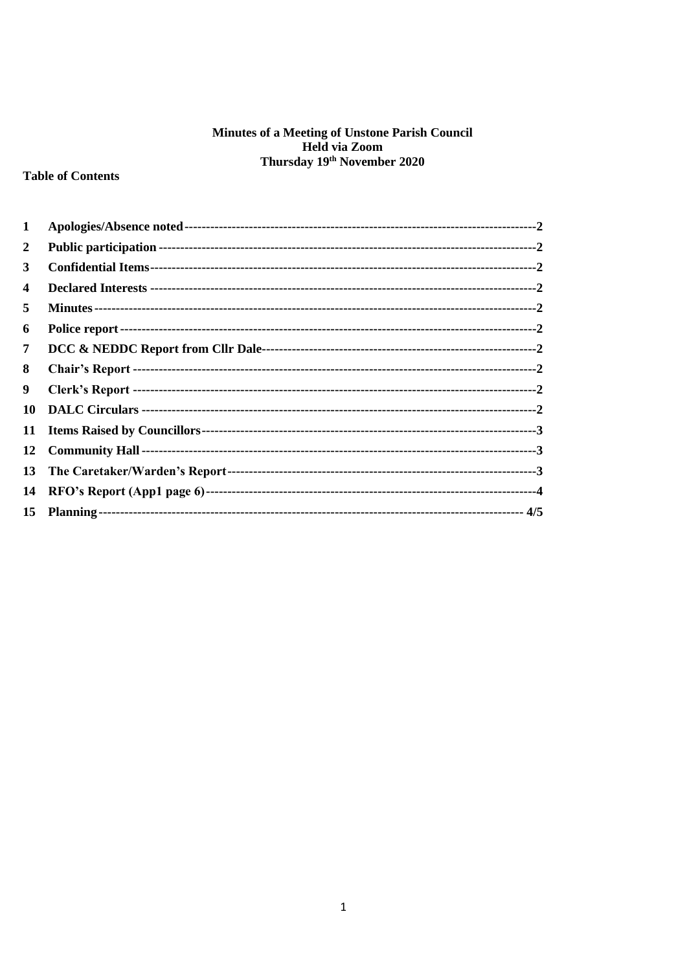# **Minutes of a Meeting of Unstone Parish Council<br>Held via Zoom<br>Thursday 19<sup>th</sup> November 2020**

# **Table of Contents**

| 1                |  |
|------------------|--|
| $\mathbf{2}$     |  |
| 3                |  |
| 4                |  |
| 5                |  |
| 6                |  |
| 7                |  |
| 8                |  |
| 9                |  |
| 10               |  |
| 11               |  |
| 12               |  |
| 13               |  |
| 14               |  |
| 15 <sup>15</sup> |  |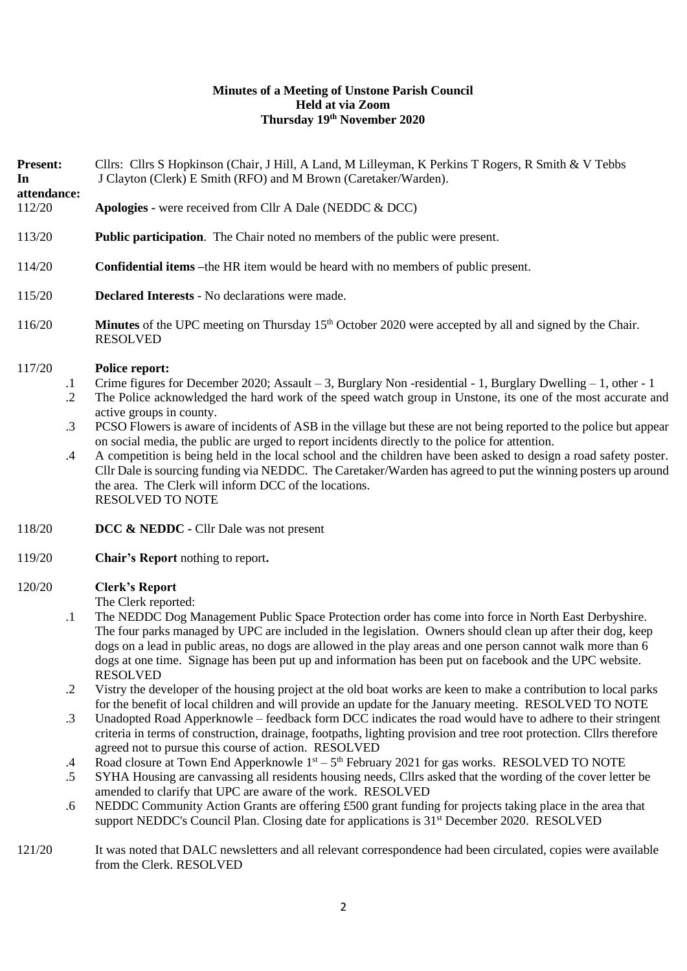## **Minutes of a Meeting of Unstone Parish Council Held at via Zoom Thursday 19th November 2020**

**Present:** Cllrs: Cllrs S Hopkinson (Chair, J Hill, A Land, M Lilleyman, K Perkins T Rogers, R Smith & V Tebbs **In attendance:** J Clayton (Clerk) E Smith (RFO) and M Brown (Caretaker/Warden).

## 112/20 **Apologies -** were received from Cllr A Dale (NEDDC & DCC)

- 113/20 **Public participation**. The Chair noted no members of the public were present.
- 114/20 **Confidential items –**the HR item would be heard with no members of public present.
- 115/20 **Declared Interests** No declarations were made.
- 116/20 **Minutes** of the UPC meeting on Thursday 15<sup>th</sup> October 2020 were accepted by all and signed by the Chair. RESOLVED

#### 117/20 **Police report:**

- .1 Crime figures for December 2020; Assault – 3, Burglary Non -residential - 1, Burglary Dwelling – 1, other - 1
- .2 The Police acknowledged the hard work of the speed watch group in Unstone, its one of the most accurate and active groups in county.
- .3 PCSO Flowers is aware of incidents of ASB in the village but these are not being reported to the police but appear on social media, the public are urged to report incidents directly to the police for attention.
- .4 A competition is being held in the local school and the children have been asked to design a road safety poster. Cllr Dale is sourcing funding via NEDDC. The Caretaker/Warden has agreed to put the winning posters up around the area. The Clerk will inform DCC of the locations. RESOLVED TO NOTE
- 118/20 **DCC & NEDDC -** Cllr Dale was not present
- 119/20 **Chair's Report** nothing to report**.**

#### 120/20 **Clerk's Report**

The Clerk reported:

- .1 The NEDDC Dog Management Public Space Protection order has come into force in North East Derbyshire. The four parks managed by UPC are included in the legislation. Owners should clean up after their dog, keep dogs on a lead in public areas, no dogs are allowed in the play areas and one person cannot walk more than 6 dogs at one time. Signage has been put up and information has been put on facebook and the UPC website. RESOLVED
- .2 Vistry the developer of the housing project at the old boat works are keen to make a contribution to local parks for the benefit of local children and will provide an update for the January meeting. RESOLVED TO NOTE
- .3 Unadopted Road Apperknowle – feedback form DCC indicates the road would have to adhere to their stringent criteria in terms of construction, drainage, footpaths, lighting provision and tree root protection. Cllrs therefore agreed not to pursue this course of action. RESOLVED
- .4 Road closure at Town End Apperknowle  $1<sup>st</sup> - 5<sup>th</sup>$  February 2021 for gas works. RESOLVED TO NOTE
- .5 SYHA Housing are canvassing all residents housing needs, Cllrs asked that the wording of the cover letter be amended to clarify that UPC are aware of the work. RESOLVED
- .6 NEDDC Community Action Grants are offering £500 grant funding for projects taking place in the area that support NEDDC's Council Plan. Closing date for applications is  $31<sup>st</sup>$  December 2020. RESOLVED
- 121/20 It was noted that DALC newsletters and all relevant correspondence had been circulated, copies were available from the Clerk. RESOLVED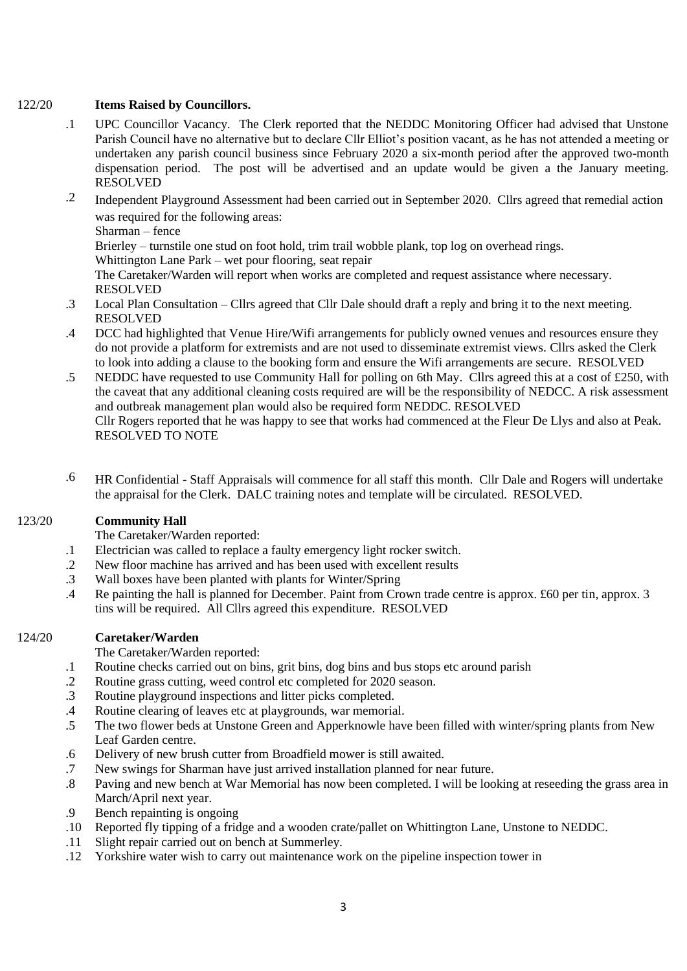## 122/20 **Items Raised by Councillors.**

- .1 UPC Councillor Vacancy. The Clerk reported that the NEDDC Monitoring Officer had advised that Unstone Parish Council have no alternative but to declare Cllr Elliot's position vacant, as he has not attended a meeting or undertaken any parish council business since February 2020 a six-month period after the approved two-month dispensation period. The post will be advertised and an update would be given a the January meeting. RESOLVED
- .2 Independent Playground Assessment had been carried out in September 2020. Cllrs agreed that remedial action was required for the following areas:

Sharman – fence

Brierley – turnstile one stud on foot hold, trim trail wobble plank, top log on overhead rings.

Whittington Lane Park – wet pour flooring, seat repair

The Caretaker/Warden will report when works are completed and request assistance where necessary. RESOLVED

- .3 Local Plan Consultation Cllrs agreed that Cllr Dale should draft a reply and bring it to the next meeting. RESOLVED
- .4 DCC had highlighted that Venue Hire/Wifi arrangements for publicly owned venues and resources ensure they do not provide a platform for extremists and are not used to disseminate extremist views. Cllrs asked the Clerk to look into adding a clause to the booking form and ensure the Wifi arrangements are secure. RESOLVED
- .5 NEDDC have requested to use Community Hall for polling on 6th May. Cllrs agreed this at a cost of £250, with the caveat that any additional cleaning costs required are will be the responsibility of NEDCC. A risk assessment and outbreak management plan would also be required form NEDDC. RESOLVED Cllr Rogers reported that he was happy to see that works had commenced at the Fleur De Llys and also at Peak. RESOLVED TO NOTE
- .6 HR Confidential Staff Appraisals will commence for all staff this month. Cllr Dale and Rogers will undertake the appraisal for the Clerk. DALC training notes and template will be circulated. RESOLVED.

#### 123/20 **Community Hall**

The Caretaker/Warden reported:

- .1 Electrician was called to replace a faulty emergency light rocker switch.
- .2 New floor machine has arrived and has been used with excellent results
- .3 Wall boxes have been planted with plants for Winter/Spring
- .4 Re painting the hall is planned for December. Paint from Crown trade centre is approx. £60 per tin, approx. 3 tins will be required. All Cllrs agreed this expenditure. RESOLVED

#### 124/20 **Caretaker/Warden**

The Caretaker/Warden reported:

- .1 Routine checks carried out on bins, grit bins, dog bins and bus stops etc around parish
- .2 Routine grass cutting, weed control etc completed for 2020 season.
- .3 Routine playground inspections and litter picks completed.
- .4 Routine clearing of leaves etc at playgrounds, war memorial.
- .5 The two flower beds at Unstone Green and Apperknowle have been filled with winter/spring plants from New Leaf Garden centre.
- .6 Delivery of new brush cutter from Broadfield mower is still awaited.
- .7 New swings for Sharman have just arrived installation planned for near future.
- .8 Paving and new bench at War Memorial has now been completed. I will be looking at reseeding the grass area in March/April next year.
- .9 Bench repainting is ongoing
- .10 Reported fly tipping of a fridge and a wooden crate/pallet on Whittington Lane, Unstone to NEDDC.
- .11 Slight repair carried out on bench at Summerley.
- .12 Yorkshire water wish to carry out maintenance work on the pipeline inspection tower in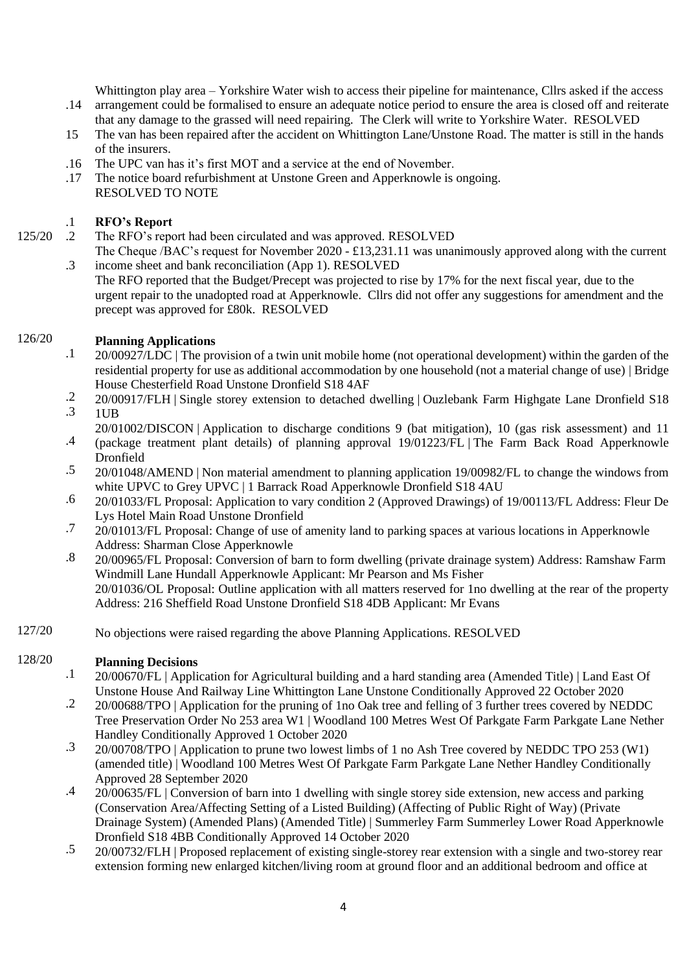Whittington play area – Yorkshire Water wish to access their pipeline for maintenance, Cllrs asked if the access

- .14 arrangement could be formalised to ensure an adequate notice period to ensure the area is closed off and reiterate that any damage to the grassed will need repairing. The Clerk will write to Yorkshire Water. RESOLVED
- 15 The van has been repaired after the accident on Whittington Lane/Unstone Road. The matter is still in the hands of the insurers.
- .16 The UPC van has it's first MOT and a service at the end of November.
- .17 The notice board refurbishment at Unstone Green and Apperknowle is ongoing. RESOLVED TO NOTE

### .1 **RFO's Report**

125/20

- $\mathcal{Z}$ The RFO's report had been circulated and was approved. RESOLVED The Cheque /BAC's request for November 2020 - £13,231.11 was unanimously approved along with the current
- .3 income sheet and bank reconciliation (App 1). RESOLVED The RFO reported that the Budget/Precept was projected to rise by 17% for the next fiscal year, due to the urgent repair to the unadopted road at Apperknowle. Cllrs did not offer any suggestions for amendment and the precept was approved for £80k. RESOLVED

## 126/20 **Planning Applications**

- .1 20/00927/LDC | The provision of a twin unit mobile home (not operational development) within the garden of the residential property for use as additional accommodation by one household (not a material change of use) | Bridge House Chesterfield Road Unstone Dronfield S18 4AF
- .2 .3 20/00917/FLH | Single storey extension to detached dwelling | Ouzlebank Farm Highgate Lane Dronfield S18 1UB
- .4 20/01002/DISCON | Application to discharge conditions 9 (bat mitigation), 10 (gas risk assessment) and 11 (package treatment plant details) of planning approval 19/01223/FL | The Farm Back Road Apperknowle
	- Dronfield
- .5 20/01048/AMEND | Non material amendment to planning application 19/00982/FL to change the windows from white UPVC to Grey UPVC | 1 Barrack Road Apperknowle Dronfield S18 4AU
- .6 20/01033/FL Proposal: Application to vary condition 2 (Approved Drawings) of 19/00113/FL Address: Fleur De Lys Hotel Main Road Unstone Dronfield
- .7 20/01013/FL Proposal: Change of use of amenity land to parking spaces at various locations in Apperknowle Address: Sharman Close Apperknowle
- .8 20/00965/FL Proposal: Conversion of barn to form dwelling (private drainage system) Address: Ramshaw Farm Windmill Lane Hundall Apperknowle Applicant: Mr Pearson and Ms Fisher 20/01036/OL Proposal: Outline application with all matters reserved for 1no dwelling at the rear of the property Address: 216 Sheffield Road Unstone Dronfield S18 4DB Applicant: Mr Evans
- 127/20 No objections were raised regarding the above Planning Applications. RESOLVED

## 128/20 **Planning Decisions**

- .1 20/00670/FL | Application for Agricultural building and a hard standing area (Amended Title) | Land East Of Unstone House And Railway Line Whittington Lane Unstone Conditionally Approved 22 October 2020
- .2 20/00688/TPO | Application for the pruning of 1no Oak tree and felling of 3 further trees covered by NEDDC Tree Preservation Order No 253 area W1 | Woodland 100 Metres West Of Parkgate Farm Parkgate Lane Nether Handley Conditionally Approved 1 October 2020
- .3 20/00708/TPO | Application to prune two lowest limbs of 1 no Ash Tree covered by NEDDC TPO 253 (W1) (amended title) | Woodland 100 Metres West Of Parkgate Farm Parkgate Lane Nether Handley Conditionally Approved 28 September 2020
- .4 20/00635/FL | Conversion of barn into 1 dwelling with single storey side extension, new access and parking (Conservation Area/Affecting Setting of a Listed Building) (Affecting of Public Right of Way) (Private Drainage System) (Amended Plans) (Amended Title) | Summerley Farm Summerley Lower Road Apperknowle Dronfield S18 4BB Conditionally Approved 14 October 2020
- .5 20/00732/FLH | Proposed replacement of existing single-storey rear extension with a single and two-storey rear extension forming new enlarged kitchen/living room at ground floor and an additional bedroom and office at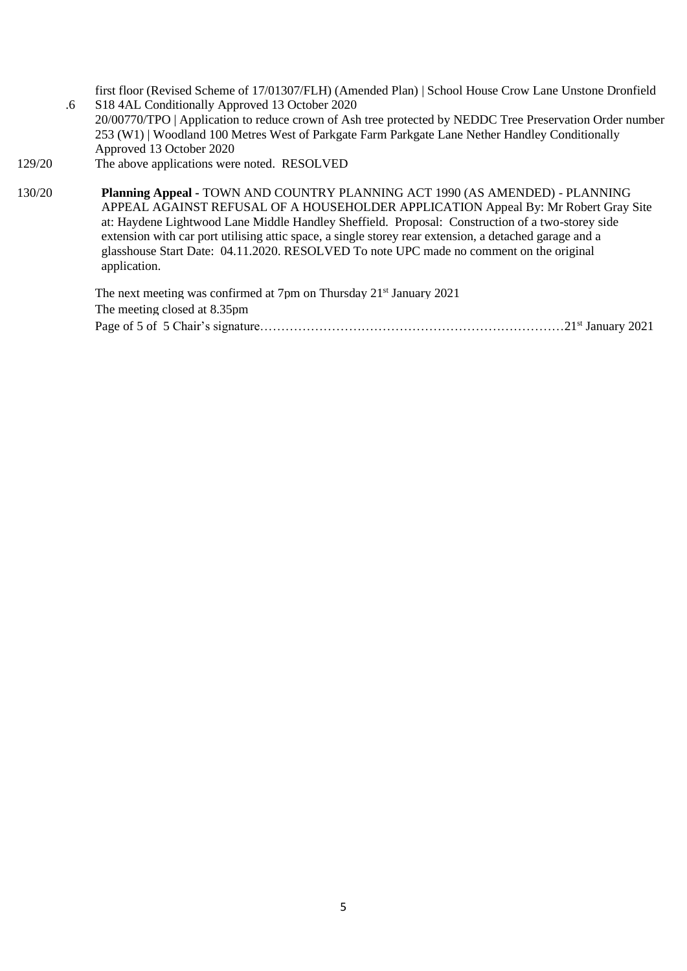first floor (Revised Scheme of 17/01307/FLH) (Amended Plan) | School House Crow Lane Unstone Dronfield S18 4AL Conditionally Approved 13 October 2020

- .6 20/00770/TPO | Application to reduce crown of Ash tree protected by NEDDC Tree Preservation Order number 253 (W1) | Woodland 100 Metres West of Parkgate Farm Parkgate Lane Nether Handley Conditionally Approved 13 October 2020
- 129/20 The above applications were noted. RESOLVED

130/20 **Planning Appeal -** TOWN AND COUNTRY PLANNING ACT 1990 (AS AMENDED) - PLANNING APPEAL AGAINST REFUSAL OF A HOUSEHOLDER APPLICATION Appeal By: Mr Robert Gray Site at: Haydene Lightwood Lane Middle Handley Sheffield. Proposal: Construction of a two-storey side extension with car port utilising attic space, a single storey rear extension, a detached garage and a glasshouse Start Date: 04.11.2020. RESOLVED To note UPC made no comment on the original application.

> The next meeting was confirmed at 7pm on Thursday 21<sup>st</sup> January 2021 The meeting closed at 8.35pm Page of 5 of 5 Chair's signature………………………………………………………………21st January 2021